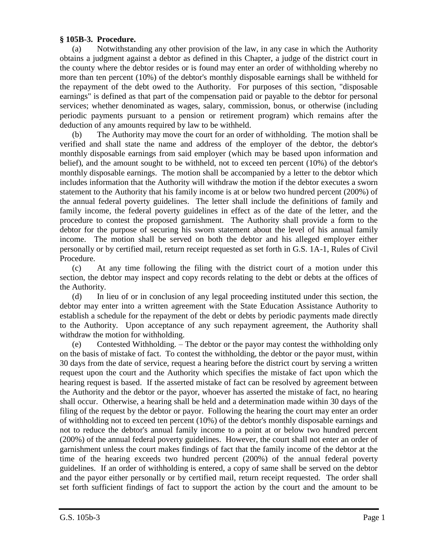## **§ 105B-3. Procedure.**

(a) Notwithstanding any other provision of the law, in any case in which the Authority obtains a judgment against a debtor as defined in this Chapter, a judge of the district court in the county where the debtor resides or is found may enter an order of withholding whereby no more than ten percent (10%) of the debtor's monthly disposable earnings shall be withheld for the repayment of the debt owed to the Authority. For purposes of this section, "disposable earnings" is defined as that part of the compensation paid or payable to the debtor for personal services; whether denominated as wages, salary, commission, bonus, or otherwise (including periodic payments pursuant to a pension or retirement program) which remains after the deduction of any amounts required by law to be withheld.

(b) The Authority may move the court for an order of withholding. The motion shall be verified and shall state the name and address of the employer of the debtor, the debtor's monthly disposable earnings from said employer (which may be based upon information and belief), and the amount sought to be withheld, not to exceed ten percent (10%) of the debtor's monthly disposable earnings. The motion shall be accompanied by a letter to the debtor which includes information that the Authority will withdraw the motion if the debtor executes a sworn statement to the Authority that his family income is at or below two hundred percent (200%) of the annual federal poverty guidelines. The letter shall include the definitions of family and family income, the federal poverty guidelines in effect as of the date of the letter, and the procedure to contest the proposed garnishment. The Authority shall provide a form to the debtor for the purpose of securing his sworn statement about the level of his annual family income. The motion shall be served on both the debtor and his alleged employer either personally or by certified mail, return receipt requested as set forth in G.S. 1A-1, Rules of Civil Procedure.

(c) At any time following the filing with the district court of a motion under this section, the debtor may inspect and copy records relating to the debt or debts at the offices of the Authority.

(d) In lieu of or in conclusion of any legal proceeding instituted under this section, the debtor may enter into a written agreement with the State Education Assistance Authority to establish a schedule for the repayment of the debt or debts by periodic payments made directly to the Authority. Upon acceptance of any such repayment agreement, the Authority shall withdraw the motion for withholding.

(e) Contested Withholding. – The debtor or the payor may contest the withholding only on the basis of mistake of fact. To contest the withholding, the debtor or the payor must, within 30 days from the date of service, request a hearing before the district court by serving a written request upon the court and the Authority which specifies the mistake of fact upon which the hearing request is based. If the asserted mistake of fact can be resolved by agreement between the Authority and the debtor or the payor, whoever has asserted the mistake of fact, no hearing shall occur. Otherwise, a hearing shall be held and a determination made within 30 days of the filing of the request by the debtor or payor. Following the hearing the court may enter an order of withholding not to exceed ten percent (10%) of the debtor's monthly disposable earnings and not to reduce the debtor's annual family income to a point at or below two hundred percent (200%) of the annual federal poverty guidelines. However, the court shall not enter an order of garnishment unless the court makes findings of fact that the family income of the debtor at the time of the hearing exceeds two hundred percent (200%) of the annual federal poverty guidelines. If an order of withholding is entered, a copy of same shall be served on the debtor and the payor either personally or by certified mail, return receipt requested. The order shall set forth sufficient findings of fact to support the action by the court and the amount to be